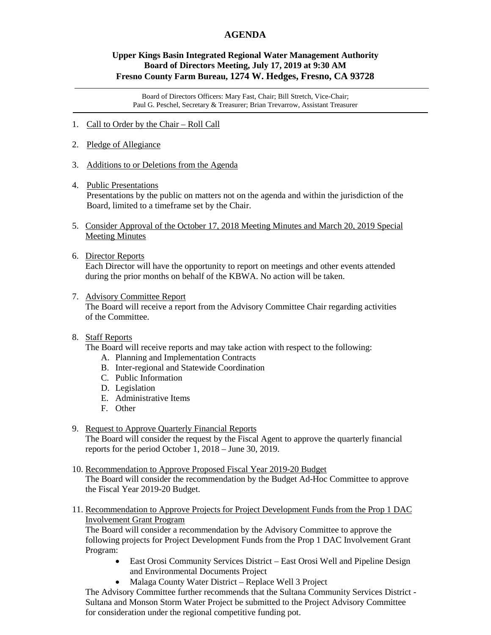## **AGENDA**

## **Upper Kings Basin Integrated Regional Water Management Authority Board of Directors Meeting, July 17, 2019 at 9:30 AM Fresno County Farm Bureau, 1274 W. Hedges, Fresno, CA 93728**

Board of Directors Officers: Mary Fast, Chair; Bill Stretch, Vice-Chair; Paul G. Peschel, Secretary & Treasurer; Brian Trevarrow, Assistant Treasurer

- 1. Call to Order by the Chair Roll Call
- 2. Pledge of Allegiance
- 3. Additions to or Deletions from the Agenda
- 4. Public Presentations Presentations by the public on matters not on the agenda and within the jurisdiction of the Board, limited to a timeframe set by the Chair.
- 5. Consider Approval of the October 17, 2018 Meeting Minutes and March 20, 2019 Special Meeting Minutes
- 6. Director Reports

 Each Director will have the opportunity to report on meetings and other events attended during the prior months on behalf of the KBWA. No action will be taken.

7. Advisory Committee Report

 The Board will receive a report from the Advisory Committee Chair regarding activities of the Committee.

## 8. Staff Reports

The Board will receive reports and may take action with respect to the following:

- A. Planning and Implementation Contracts
- B. Inter-regional and Statewide Coordination
- C. Public Information
- D. Legislation
- E. Administrative Items
- F. Other
- 9. Request to Approve Quarterly Financial Reports The Board will consider the request by the Fiscal Agent to approve the quarterly financial reports for the period October 1, 2018 – June 30, 2019.
- 10. Recommendation to Approve Proposed Fiscal Year 2019-20 Budget

 The Board will consider the recommendation by the Budget Ad-Hoc Committee to approve the Fiscal Year 2019-20 Budget.

11. Recommendation to Approve Projects for Project Development Funds from the Prop 1 DAC Involvement Grant Program

 The Board will consider a recommendation by the Advisory Committee to approve the following projects for Project Development Funds from the Prop 1 DAC Involvement Grant Program:

- East Orosi Community Services District East Orosi Well and Pipeline Design and Environmental Documents Project
- Malaga County Water District Replace Well 3 Project

 The Advisory Committee further recommends that the Sultana Community Services District - Sultana and Monson Storm Water Project be submitted to the Project Advisory Committee for consideration under the regional competitive funding pot.